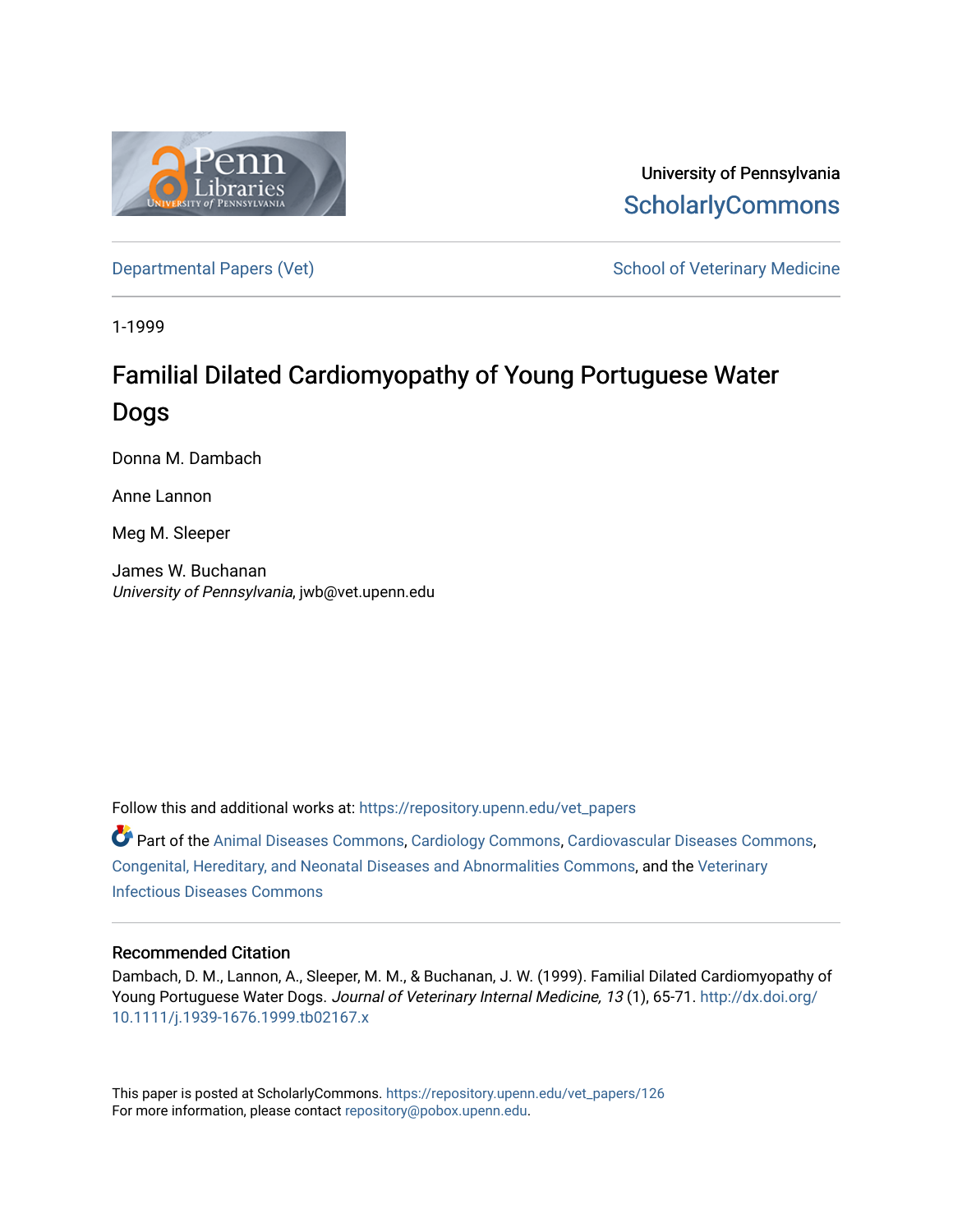

University of Pennsylvania **ScholarlyCommons** 

[Departmental Papers \(Vet\)](https://repository.upenn.edu/vet_papers) and School of Veterinary Medicine

1-1999

# Familial Dilated Cardiomyopathy of Young Portuguese Water Dogs

Donna M. Dambach

Anne Lannon

Meg M. Sleeper

James W. Buchanan University of Pennsylvania, jwb@vet.upenn.edu

Follow this and additional works at: [https://repository.upenn.edu/vet\\_papers](https://repository.upenn.edu/vet_papers?utm_source=repository.upenn.edu%2Fvet_papers%2F126&utm_medium=PDF&utm_campaign=PDFCoverPages) 

Part of the [Animal Diseases Commons,](http://network.bepress.com/hgg/discipline/918?utm_source=repository.upenn.edu%2Fvet_papers%2F126&utm_medium=PDF&utm_campaign=PDFCoverPages) [Cardiology Commons](http://network.bepress.com/hgg/discipline/683?utm_source=repository.upenn.edu%2Fvet_papers%2F126&utm_medium=PDF&utm_campaign=PDFCoverPages), [Cardiovascular Diseases Commons,](http://network.bepress.com/hgg/discipline/929?utm_source=repository.upenn.edu%2Fvet_papers%2F126&utm_medium=PDF&utm_campaign=PDFCoverPages) [Congenital, Hereditary, and Neonatal Diseases and Abnormalities Commons](http://network.bepress.com/hgg/discipline/971?utm_source=repository.upenn.edu%2Fvet_papers%2F126&utm_medium=PDF&utm_campaign=PDFCoverPages), and the [Veterinary](http://network.bepress.com/hgg/discipline/770?utm_source=repository.upenn.edu%2Fvet_papers%2F126&utm_medium=PDF&utm_campaign=PDFCoverPages) [Infectious Diseases Commons](http://network.bepress.com/hgg/discipline/770?utm_source=repository.upenn.edu%2Fvet_papers%2F126&utm_medium=PDF&utm_campaign=PDFCoverPages) 

### Recommended Citation

Dambach, D. M., Lannon, A., Sleeper, M. M., & Buchanan, J. W. (1999). Familial Dilated Cardiomyopathy of Young Portuguese Water Dogs. Journal of Veterinary Internal Medicine, 13 (1), 65-71. [http://dx.doi.org/](http://dx.doi.org/10.1111/j.1939-1676.1999.tb02167.x) [10.1111/j.1939-1676.1999.tb02167.x](http://dx.doi.org/10.1111/j.1939-1676.1999.tb02167.x)

This paper is posted at ScholarlyCommons. [https://repository.upenn.edu/vet\\_papers/126](https://repository.upenn.edu/vet_papers/126) For more information, please contact [repository@pobox.upenn.edu.](mailto:repository@pobox.upenn.edu)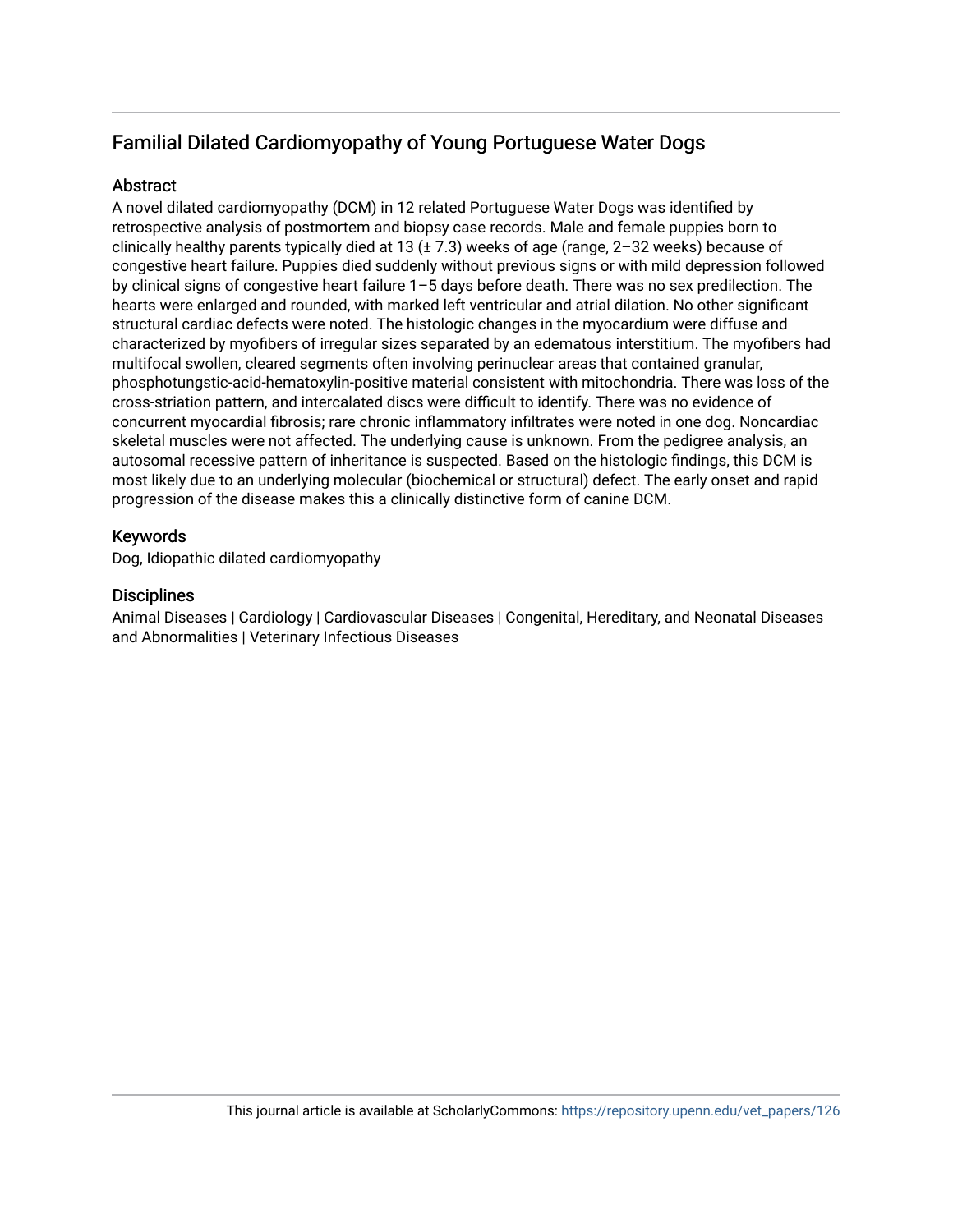## Familial Dilated Cardiomyopathy of Young Portuguese Water Dogs

## **Abstract**

A novel dilated cardiomyopathy (DCM) in 12 related Portuguese Water Dogs was identified by retrospective analysis of postmortem and biopsy case records. Male and female puppies born to clinically healthy parents typically died at 13 ( $\pm$  7.3) weeks of age (range, 2-32 weeks) because of congestive heart failure. Puppies died suddenly without previous signs or with mild depression followed by clinical signs of congestive heart failure 1–5 days before death. There was no sex predilection. The hearts were enlarged and rounded, with marked left ventricular and atrial dilation. No other significant structural cardiac defects were noted. The histologic changes in the myocardium were diffuse and characterized by myofibers of irregular sizes separated by an edematous interstitium. The myofibers had multifocal swollen, cleared segments often involving perinuclear areas that contained granular, phosphotungstic-acid-hematoxylin-positive material consistent with mitochondria. There was loss of the cross-striation pattern, and intercalated discs were difficult to identify. There was no evidence of concurrent myocardial fibrosis; rare chronic inflammatory infiltrates were noted in one dog. Noncardiac skeletal muscles were not affected. The underlying cause is unknown. From the pedigree analysis, an autosomal recessive pattern of inheritance is suspected. Based on the histologic findings, this DCM is most likely due to an underlying molecular (biochemical or structural) defect. The early onset and rapid progression of the disease makes this a clinically distinctive form of canine DCM.

## Keywords

Dog, Idiopathic dilated cardiomyopathy

## **Disciplines**

Animal Diseases | Cardiology | Cardiovascular Diseases | Congenital, Hereditary, and Neonatal Diseases and Abnormalities | Veterinary Infectious Diseases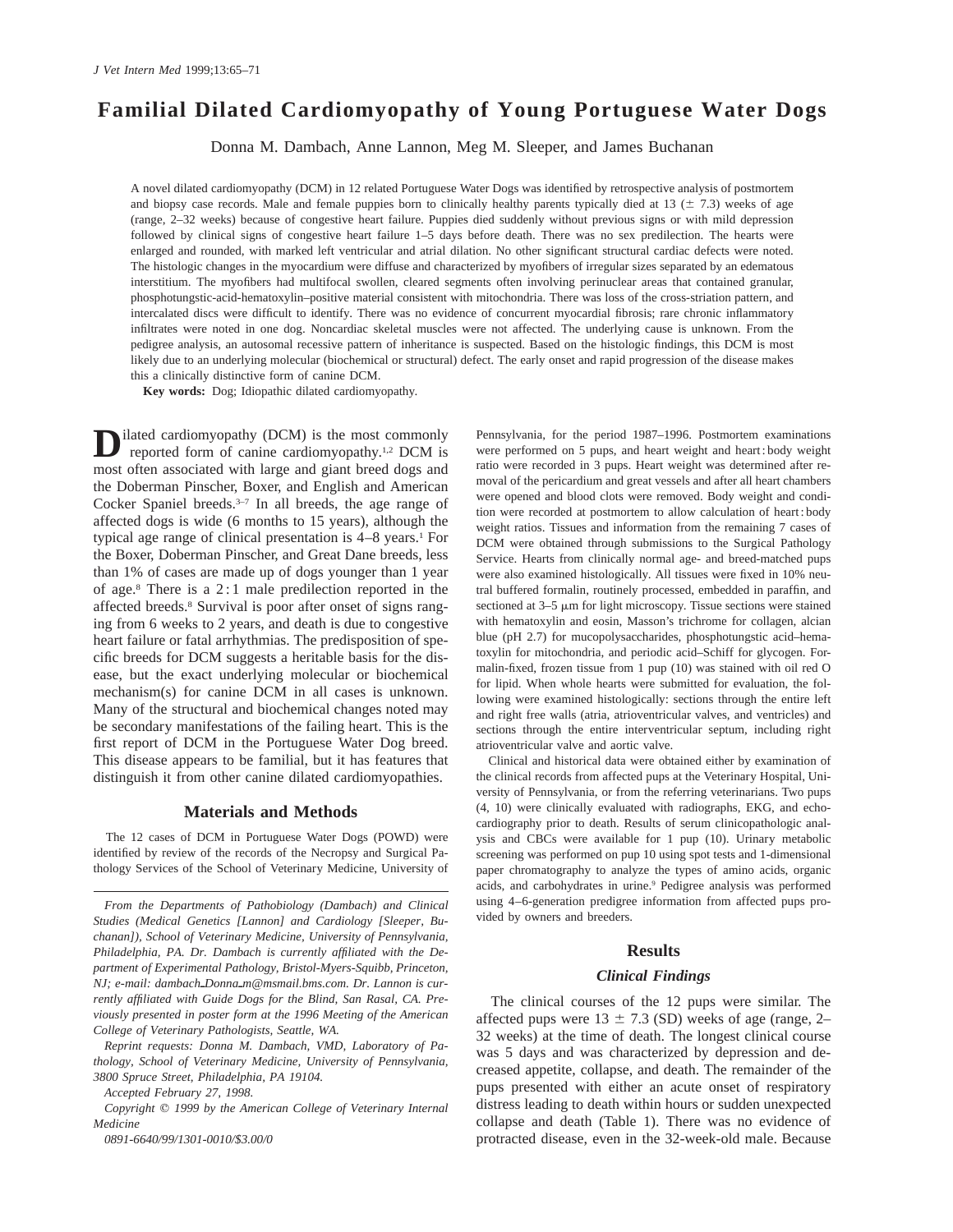## **Familial Dilated Cardiomyopathy of Young Portuguese Water Dogs**

Donna M. Dambach, Anne Lannon, Meg M. Sleeper, and James Buchanan

A novel dilated cardiomyopathy (DCM) in 12 related Portuguese Water Dogs was identified by retrospective analysis of postmortem and biopsy case records. Male and female puppies born to clinically healthy parents typically died at 13 ( $\pm$  7.3) weeks of age (range, 2–32 weeks) because of congestive heart failure. Puppies died suddenly without previous signs or with mild depression followed by clinical signs of congestive heart failure 1–5 days before death. There was no sex predilection. The hearts were enlarged and rounded, with marked left ventricular and atrial dilation. No other significant structural cardiac defects were noted. The histologic changes in the myocardium were diffuse and characterized by myofibers of irregular sizes separated by an edematous interstitium. The myofibers had multifocal swollen, cleared segments often involving perinuclear areas that contained granular, phosphotungstic-acid-hematoxylin–positive material consistent with mitochondria. There was loss of the cross-striation pattern, and intercalated discs were difficult to identify. There was no evidence of concurrent myocardial fibrosis; rare chronic inflammatory infiltrates were noted in one dog. Noncardiac skeletal muscles were not affected. The underlying cause is unknown. From the pedigree analysis, an autosomal recessive pattern of inheritance is suspected. Based on the histologic findings, this DCM is most likely due to an underlying molecular (biochemical or structural) defect. The early onset and rapid progression of the disease makes this a clinically distinctive form of canine DCM.

**Key words:** Dog; Idiopathic dilated cardiomyopathy.

**D**ilated cardiomyopathy (DCM) is the most commonly reported form of canine cardiomyopathy.1,2 DCM is most often associated with large and giant breed dogs and the Doberman Pinscher, Boxer, and English and American Cocker Spaniel breeds.3–7 In all breeds, the age range of affected dogs is wide (6 months to 15 years), although the typical age range of clinical presentation is  $4-8$  years.<sup>1</sup> For the Boxer, Doberman Pinscher, and Great Dane breeds, less than 1% of cases are made up of dogs younger than 1 year of age.8 There is a 2 : 1 male predilection reported in the affected breeds.8 Survival is poor after onset of signs ranging from 6 weeks to 2 years, and death is due to congestive heart failure or fatal arrhythmias. The predisposition of specific breeds for DCM suggests a heritable basis for the disease, but the exact underlying molecular or biochemical mechanism(s) for canine DCM in all cases is unknown. Many of the structural and biochemical changes noted may be secondary manifestations of the failing heart. This is the first report of DCM in the Portuguese Water Dog breed. This disease appears to be familial, but it has features that distinguish it from other canine dilated cardiomyopathies.

#### **Materials and Methods**

The 12 cases of DCM in Portuguese Water Dogs (POWD) were identified by review of the records of the Necropsy and Surgical Pathology Services of the School of Veterinary Medicine, University of

*Accepted February 27, 1998.*

*0891-6640/99/1301-0010/\$3.00/0*

Pennsylvania, for the period 1987–1996. Postmortem examinations were performed on 5 pups, and heart weight and heart : body weight ratio were recorded in 3 pups. Heart weight was determined after removal of the pericardium and great vessels and after all heart chambers were opened and blood clots were removed. Body weight and condition were recorded at postmortem to allow calculation of heart : body weight ratios. Tissues and information from the remaining 7 cases of DCM were obtained through submissions to the Surgical Pathology Service. Hearts from clinically normal age- and breed-matched pups were also examined histologically. All tissues were fixed in 10% neutral buffered formalin, routinely processed, embedded in paraffin, and sectioned at  $3-5 \mu m$  for light microscopy. Tissue sections were stained with hematoxylin and eosin, Masson's trichrome for collagen, alcian blue (pH 2.7) for mucopolysaccharides, phosphotungstic acid–hematoxylin for mitochondria, and periodic acid–Schiff for glycogen. Formalin-fixed, frozen tissue from 1 pup (10) was stained with oil red O for lipid. When whole hearts were submitted for evaluation, the following were examined histologically: sections through the entire left and right free walls (atria, atrioventricular valves, and ventricles) and sections through the entire interventricular septum, including right atrioventricular valve and aortic valve.

Clinical and historical data were obtained either by examination of the clinical records from affected pups at the Veterinary Hospital, University of Pennsylvania, or from the referring veterinarians. Two pups (4, 10) were clinically evaluated with radiographs, EKG, and echocardiography prior to death. Results of serum clinicopathologic analysis and CBCs were available for 1 pup (10). Urinary metabolic screening was performed on pup 10 using spot tests and 1-dimensional paper chromatography to analyze the types of amino acids, organic acids, and carbohydrates in urine.9 Pedigree analysis was performed using 4–6-generation predigree information from affected pups provided by owners and breeders.

#### **Results**

#### *Clinical Findings*

The clinical courses of the 12 pups were similar. The affected pups were  $13 \pm 7.3$  (SD) weeks of age (range, 2– 32 weeks) at the time of death. The longest clinical course was 5 days and was characterized by depression and decreased appetite, collapse, and death. The remainder of the pups presented with either an acute onset of respiratory distress leading to death within hours or sudden unexpected collapse and death (Table 1). There was no evidence of protracted disease, even in the 32-week-old male. Because

*From the Departments of Pathobiology (Dambach) and Clinical Studies (Medical Genetics [Lannon] and Cardiology [Sleeper, Buchanan]), School of Veterinary Medicine, University of Pennsylvania, Philadelphia, PA. Dr. Dambach is currently affiliated with the Department of Experimental Pathology, Bristol-Myers-Squibb, Princeton, NJ*; e-mail: dambach\_Donna\_m@msmail.bms.com. Dr. Lannon is cur*rently affiliated with Guide Dogs for the Blind, San Rasal, CA. Previously presented in poster form at the 1996 Meeting of the American College of Veterinary Pathologists, Seattle, WA.*

*Reprint requests: Donna M. Dambach, VMD, Laboratory of Pathology, School of Veterinary Medicine, University of Pennsylvania, 3800 Spruce Street, Philadelphia, PA 19104.*

*Copyright*  $\oslash$  *1999 by the American College of Veterinary Internal Medicine*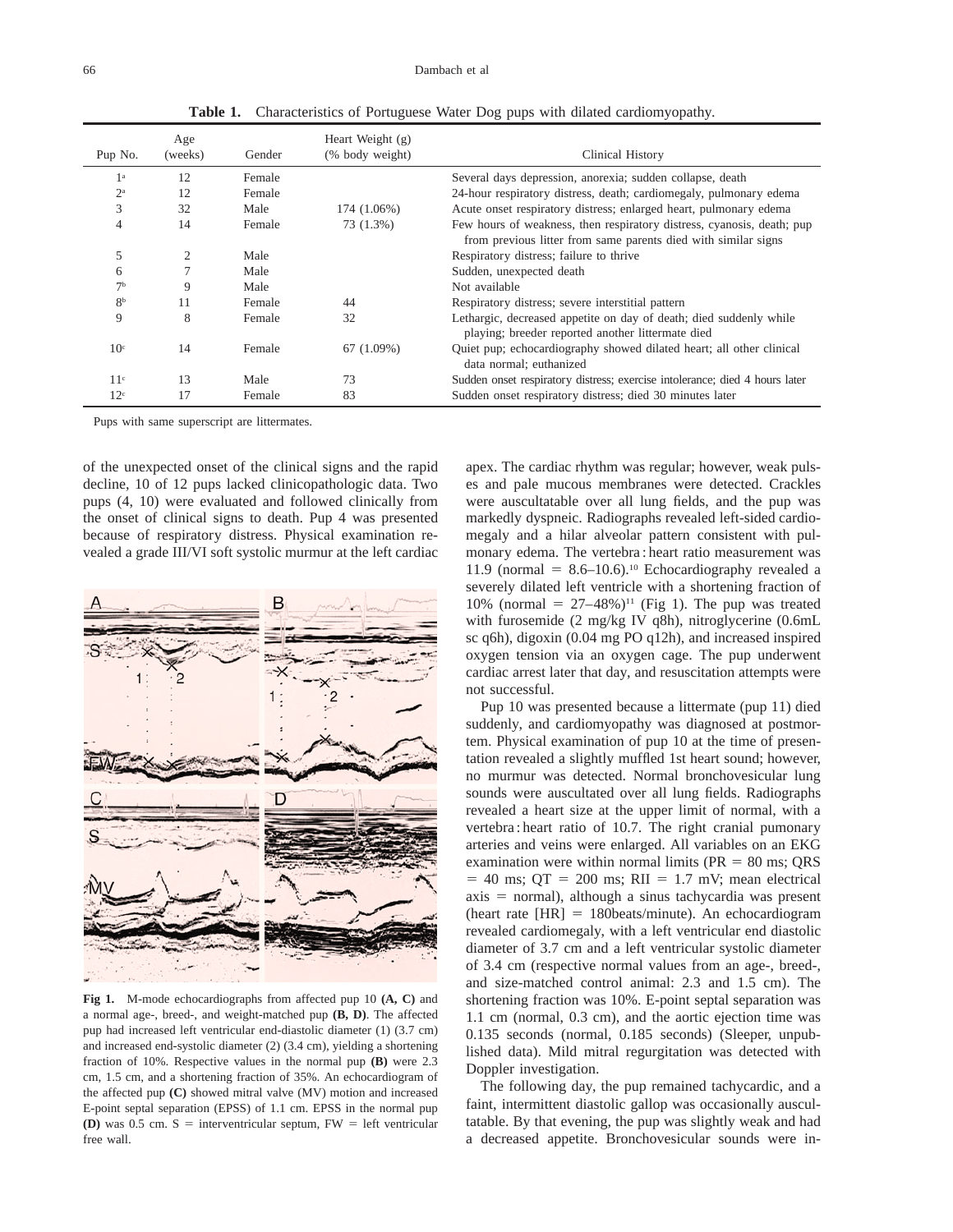**Table 1.** Characteristics of Portuguese Water Dog pups with dilated cardiomyopathy.

| Pup No.          | Age<br>(weeks) | Gender | Heart Weight $(g)$<br>(% body weight) | Clinical History                                                                                                                         |
|------------------|----------------|--------|---------------------------------------|------------------------------------------------------------------------------------------------------------------------------------------|
| 1 <sup>a</sup>   | 12             | Female |                                       | Several days depression, anorexia; sudden collapse, death                                                                                |
| $2^{\mathrm{a}}$ | 12             | Female |                                       | 24-hour respiratory distress, death; cardiomegaly, pulmonary edema                                                                       |
| 3                | 32             | Male   | 174 (1.06%)                           | Acute onset respiratory distress; enlarged heart, pulmonary edema                                                                        |
| 4                | 14             | Female | 73 (1.3%)                             | Few hours of weakness, then respiratory distress, cyanosis, death; pup<br>from previous litter from same parents died with similar signs |
| 5                | $\overline{2}$ | Male   |                                       | Respiratory distress; failure to thrive                                                                                                  |
| 6                | $\overline{7}$ | Male   |                                       | Sudden, unexpected death                                                                                                                 |
| 7 <sup>b</sup>   | 9              | Male   |                                       | Not available                                                                                                                            |
| 8 <sup>b</sup>   | 11             | Female | 44                                    | Respiratory distress; severe interstitial pattern                                                                                        |
| 9                | 8              | Female | 32                                    | Lethargic, decreased appetite on day of death; died suddenly while<br>playing; breeder reported another littermate died                  |
| 10 <sup>c</sup>  | 14             | Female | 67 (1.09%)                            | Quiet pup; echocardiography showed dilated heart; all other clinical<br>data normal; euthanized                                          |
| 11 <sup>c</sup>  | 13             | Male   | 73                                    | Sudden onset respiratory distress; exercise intolerance; died 4 hours later                                                              |
| 12 <sup>c</sup>  | 17             | Female | 83                                    | Sudden onset respiratory distress; died 30 minutes later                                                                                 |

Pups with same superscript are littermates.

of the unexpected onset of the clinical signs and the rapid decline, 10 of 12 pups lacked clinicopathologic data. Two pups (4, 10) were evaluated and followed clinically from the onset of clinical signs to death. Pup 4 was presented because of respiratory distress. Physical examination revealed a grade III/VI soft systolic murmur at the left cardiac



**Fig 1.** M-mode echocardiographs from affected pup 10 **(A, C)** and a normal age-, breed-, and weight-matched pup **(B, D)**. The affected pup had increased left ventricular end-diastolic diameter (1) (3.7 cm) and increased end-systolic diameter (2) (3.4 cm), yielding a shortening fraction of 10%. Respective values in the normal pup **(B)** were 2.3 cm, 1.5 cm, and a shortening fraction of 35%. An echocardiogram of the affected pup **(C)** showed mitral valve (MV) motion and increased E-point septal separation (EPSS) of 1.1 cm. EPSS in the normal pup **(D)** was 0.5 cm.  $S =$  interventricular septum,  $FW =$  left ventricular free wall.

apex. The cardiac rhythm was regular; however, weak pulses and pale mucous membranes were detected. Crackles were auscultatable over all lung fields, and the pup was markedly dyspneic. Radiographs revealed left-sided cardiomegaly and a hilar alveolar pattern consistent with pulmonary edema. The vertebra : heart ratio measurement was 11.9 (normal =  $8.6-10.6$ ).<sup>10</sup> Echocardiography revealed a severely dilated left ventricle with a shortening fraction of 10% (normal =  $27-48$ %)<sup>11</sup> (Fig 1). The pup was treated with furosemide (2 mg/kg IV q8h), nitroglycerine (0.6mL sc q6h), digoxin (0.04 mg PO q12h), and increased inspired oxygen tension via an oxygen cage. The pup underwent cardiac arrest later that day, and resuscitation attempts were not successful.

Pup 10 was presented because a littermate (pup 11) died suddenly, and cardiomyopathy was diagnosed at postmortem. Physical examination of pup 10 at the time of presentation revealed a slightly muffled 1st heart sound; however, no murmur was detected. Normal bronchovesicular lung sounds were auscultated over all lung fields. Radiographs revealed a heart size at the upper limit of normal, with a vertebra : heart ratio of 10.7. The right cranial pumonary arteries and veins were enlarged. All variables on an EKG examination were within normal limits ( $PR = 80$  ms;  $QRS$  $= 40$  ms;  $QT = 200$  ms;  $RII = 1.7$  mV; mean electrical  $axis = normal$ ), although a sinus tachycardia was present (heart rate  $[HR] = 180$ beats/minute). An echocardiogram revealed cardiomegaly, with a left ventricular end diastolic diameter of 3.7 cm and a left ventricular systolic diameter of 3.4 cm (respective normal values from an age-, breed-, and size-matched control animal: 2.3 and 1.5 cm). The shortening fraction was 10%. E-point septal separation was 1.1 cm (normal, 0.3 cm), and the aortic ejection time was 0.135 seconds (normal, 0.185 seconds) (Sleeper, unpublished data). Mild mitral regurgitation was detected with Doppler investigation.

The following day, the pup remained tachycardic, and a faint, intermittent diastolic gallop was occasionally auscultatable. By that evening, the pup was slightly weak and had a decreased appetite. Bronchovesicular sounds were in-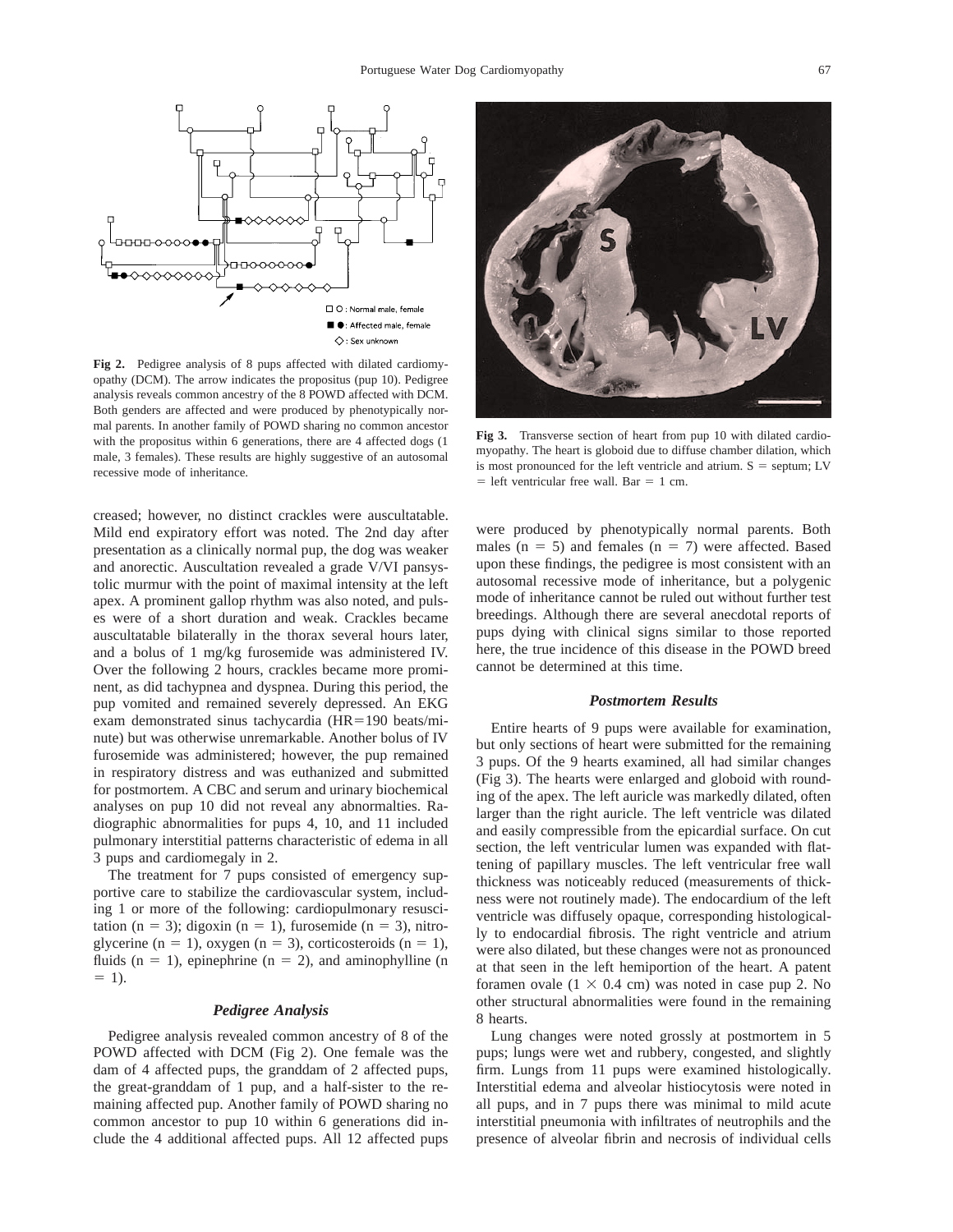

**Fig 2.** Pedigree analysis of 8 pups affected with dilated cardiomyopathy (DCM). The arrow indicates the propositus (pup 10). Pedigree analysis reveals common ancestry of the 8 POWD affected with DCM. Both genders are affected and were produced by phenotypically normal parents. In another family of POWD sharing no common ancestor with the propositus within 6 generations, there are 4 affected dogs (1 male, 3 females). These results are highly suggestive of an autosomal recessive mode of inheritance.

creased; however, no distinct crackles were auscultatable. Mild end expiratory effort was noted. The 2nd day after presentation as a clinically normal pup, the dog was weaker and anorectic. Auscultation revealed a grade V/VI pansystolic murmur with the point of maximal intensity at the left apex. A prominent gallop rhythm was also noted, and pulses were of a short duration and weak. Crackles became auscultatable bilaterally in the thorax several hours later, and a bolus of 1 mg/kg furosemide was administered IV. Over the following 2 hours, crackles became more prominent, as did tachypnea and dyspnea. During this period, the pup vomited and remained severely depressed. An EKG exam demonstrated sinus tachycardia  $(HR=190 \text{ beats/min}$ nute) but was otherwise unremarkable. Another bolus of IV furosemide was administered; however, the pup remained in respiratory distress and was euthanized and submitted for postmortem. A CBC and serum and urinary biochemical analyses on pup 10 did not reveal any abnormalties. Radiographic abnormalities for pups 4, 10, and 11 included pulmonary interstitial patterns characteristic of edema in all 3 pups and cardiomegaly in 2.

The treatment for 7 pups consisted of emergency supportive care to stabilize the cardiovascular system, including 1 or more of the following: cardiopulmonary resuscitation (n = 3); digoxin (n = 1), furosemide (n = 3), nitroglycerine (n = 1), oxygen (n = 3), corticosteroids (n = 1), fluids (n = 1), epinephrine (n = 2), and aminophylline (n  $= 1$ ).

#### *Pedigree Analysis*

Pedigree analysis revealed common ancestry of 8 of the POWD affected with DCM (Fig 2). One female was the dam of 4 affected pups, the granddam of 2 affected pups, the great-granddam of 1 pup, and a half-sister to the remaining affected pup. Another family of POWD sharing no common ancestor to pup 10 within 6 generations did include the 4 additional affected pups. All 12 affected pups



**Fig 3.** Transverse section of heart from pup 10 with dilated cardiomyopathy. The heart is globoid due to diffuse chamber dilation, which is most pronounced for the left ventricle and atrium.  $S =$  septum; LV  $=$  left ventricular free wall. Bar  $= 1$  cm.

were produced by phenotypically normal parents. Both males ( $n = 5$ ) and females ( $n = 7$ ) were affected. Based upon these findings, the pedigree is most consistent with an autosomal recessive mode of inheritance, but a polygenic mode of inheritance cannot be ruled out without further test breedings. Although there are several anecdotal reports of pups dying with clinical signs similar to those reported here, the true incidence of this disease in the POWD breed cannot be determined at this time.

#### *Postmortem Results*

Entire hearts of 9 pups were available for examination, but only sections of heart were submitted for the remaining 3 pups. Of the 9 hearts examined, all had similar changes (Fig 3). The hearts were enlarged and globoid with rounding of the apex. The left auricle was markedly dilated, often larger than the right auricle. The left ventricle was dilated and easily compressible from the epicardial surface. On cut section, the left ventricular lumen was expanded with flattening of papillary muscles. The left ventricular free wall thickness was noticeably reduced (measurements of thickness were not routinely made). The endocardium of the left ventricle was diffusely opaque, corresponding histologically to endocardial fibrosis. The right ventricle and atrium were also dilated, but these changes were not as pronounced at that seen in the left hemiportion of the heart. A patent foramen ovale  $(1 \times 0.4 \text{ cm})$  was noted in case pup 2. No other structural abnormalities were found in the remaining 8 hearts.

Lung changes were noted grossly at postmortem in 5 pups; lungs were wet and rubbery, congested, and slightly firm. Lungs from 11 pups were examined histologically. Interstitial edema and alveolar histiocytosis were noted in all pups, and in 7 pups there was minimal to mild acute interstitial pneumonia with infiltrates of neutrophils and the presence of alveolar fibrin and necrosis of individual cells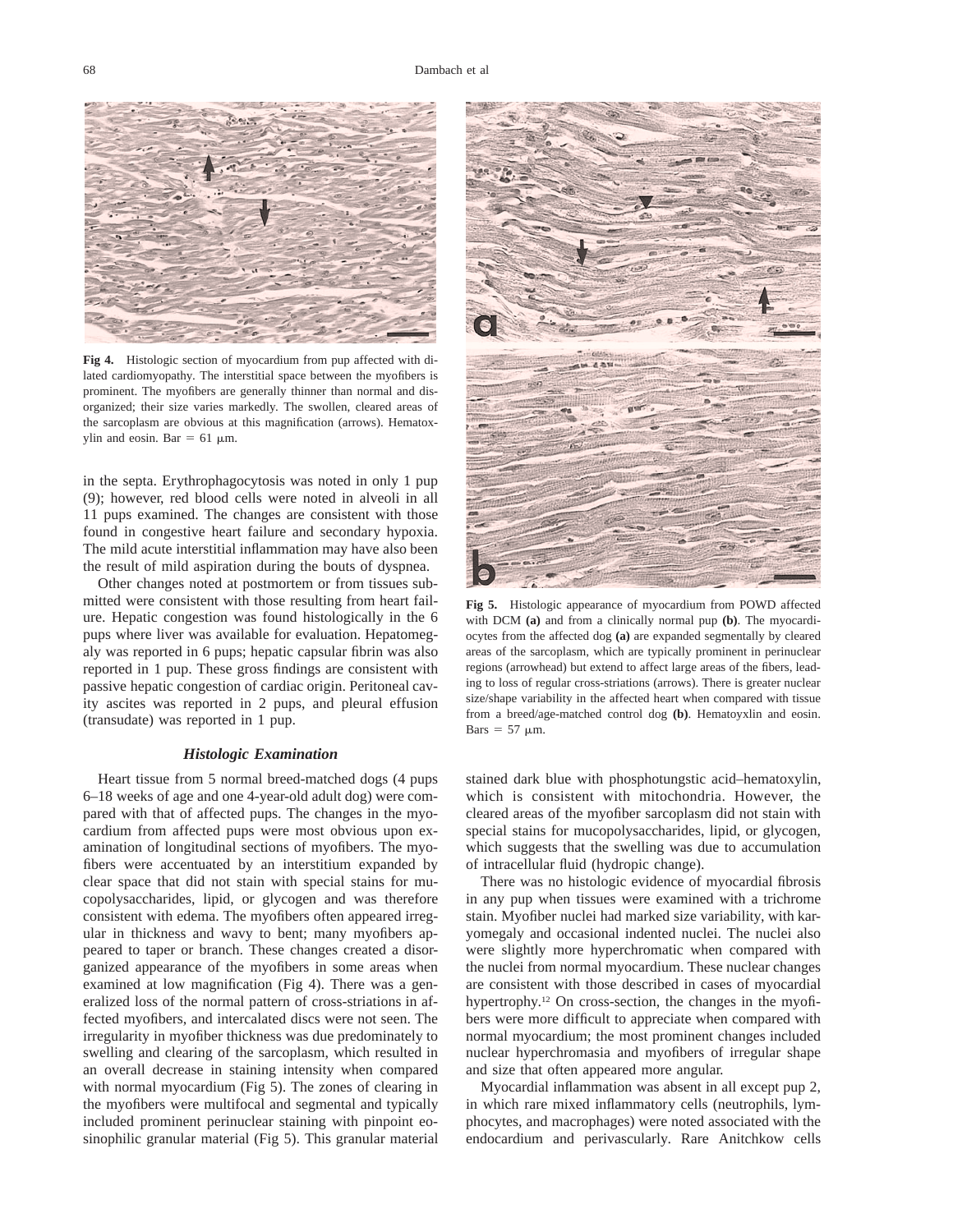

**Fig 4.** Histologic section of myocardium from pup affected with dilated cardiomyopathy. The interstitial space between the myofibers is prominent. The myofibers are generally thinner than normal and disorganized; their size varies markedly. The swollen, cleared areas of the sarcoplasm are obvious at this magnification (arrows). Hematoxylin and eosin. Bar =  $61 \mu m$ .

in the septa. Erythrophagocytosis was noted in only 1 pup (9); however, red blood cells were noted in alveoli in all 11 pups examined. The changes are consistent with those found in congestive heart failure and secondary hypoxia. The mild acute interstitial inflammation may have also been the result of mild aspiration during the bouts of dyspnea.

Other changes noted at postmortem or from tissues submitted were consistent with those resulting from heart failure. Hepatic congestion was found histologically in the 6 pups where liver was available for evaluation. Hepatomegaly was reported in 6 pups; hepatic capsular fibrin was also reported in 1 pup. These gross findings are consistent with passive hepatic congestion of cardiac origin. Peritoneal cavity ascites was reported in 2 pups, and pleural effusion (transudate) was reported in 1 pup.

#### *Histologic Examination*

Heart tissue from 5 normal breed-matched dogs (4 pups 6–18 weeks of age and one 4-year-old adult dog) were compared with that of affected pups. The changes in the myocardium from affected pups were most obvious upon examination of longitudinal sections of myofibers. The myofibers were accentuated by an interstitium expanded by clear space that did not stain with special stains for mucopolysaccharides, lipid, or glycogen and was therefore consistent with edema. The myofibers often appeared irregular in thickness and wavy to bent; many myofibers appeared to taper or branch. These changes created a disorganized appearance of the myofibers in some areas when examined at low magnification (Fig 4). There was a generalized loss of the normal pattern of cross-striations in affected myofibers, and intercalated discs were not seen. The irregularity in myofiber thickness was due predominately to swelling and clearing of the sarcoplasm, which resulted in an overall decrease in staining intensity when compared with normal myocardium (Fig 5). The zones of clearing in the myofibers were multifocal and segmental and typically included prominent perinuclear staining with pinpoint eosinophilic granular material (Fig 5). This granular material



**Fig 5.** Histologic appearance of myocardium from POWD affected with DCM **(a)** and from a clinically normal pup **(b)**. The myocardiocytes from the affected dog **(a)** are expanded segmentally by cleared areas of the sarcoplasm, which are typically prominent in perinuclear regions (arrowhead) but extend to affect large areas of the fibers, leading to loss of regular cross-striations (arrows). There is greater nuclear size/shape variability in the affected heart when compared with tissue from a breed/age-matched control dog **(b)**. Hematoyxlin and eosin. Bars =  $57 \mu m$ .

stained dark blue with phosphotungstic acid–hematoxylin, which is consistent with mitochondria. However, the cleared areas of the myofiber sarcoplasm did not stain with special stains for mucopolysaccharides, lipid, or glycogen, which suggests that the swelling was due to accumulation of intracellular fluid (hydropic change).

There was no histologic evidence of myocardial fibrosis in any pup when tissues were examined with a trichrome stain. Myofiber nuclei had marked size variability, with karyomegaly and occasional indented nuclei. The nuclei also were slightly more hyperchromatic when compared with the nuclei from normal myocardium. These nuclear changes are consistent with those described in cases of myocardial hypertrophy.12 On cross-section, the changes in the myofibers were more difficult to appreciate when compared with normal myocardium; the most prominent changes included nuclear hyperchromasia and myofibers of irregular shape and size that often appeared more angular.

Myocardial inflammation was absent in all except pup 2, in which rare mixed inflammatory cells (neutrophils, lymphocytes, and macrophages) were noted associated with the endocardium and perivascularly. Rare Anitchkow cells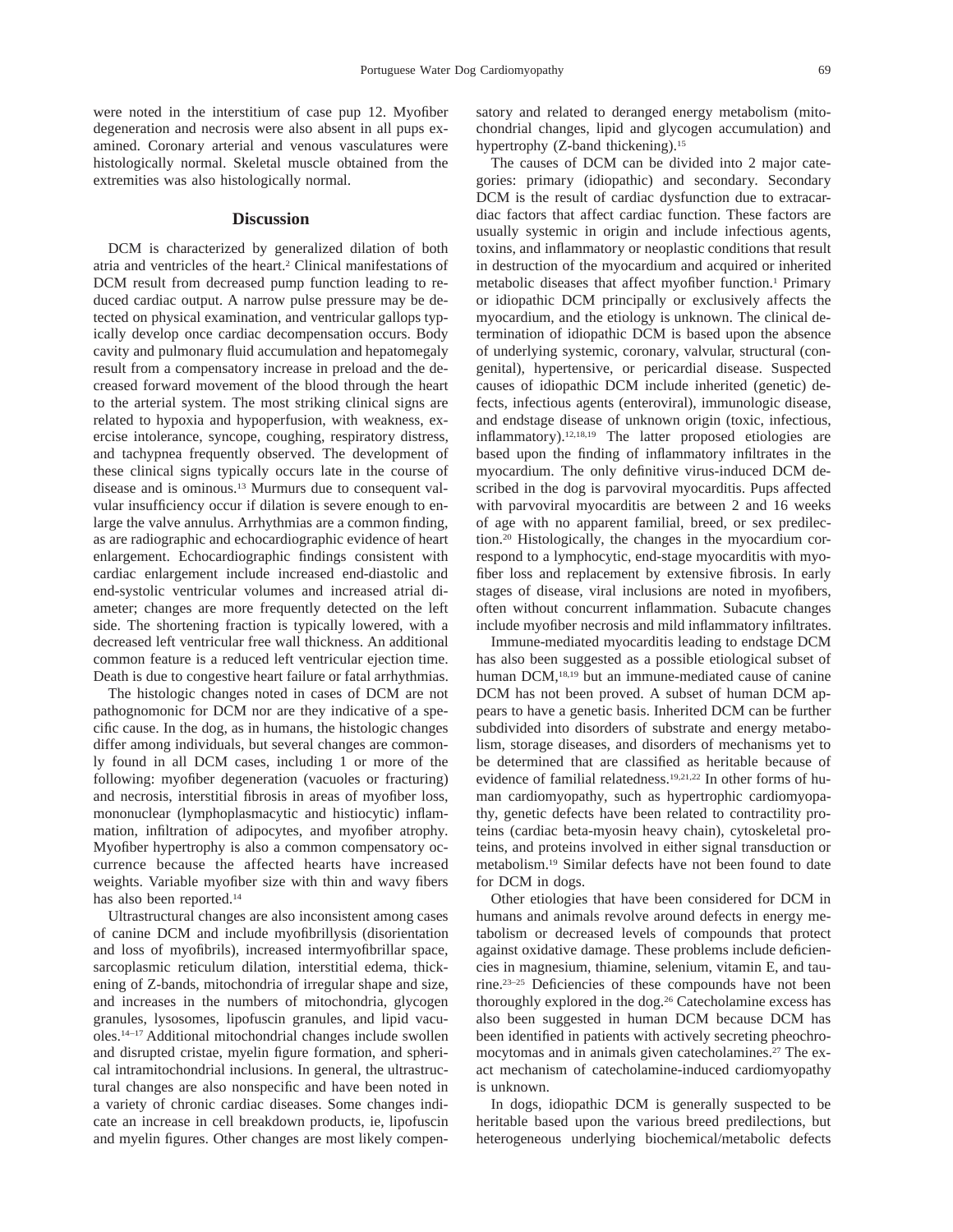were noted in the interstitium of case pup 12. Myofiber degeneration and necrosis were also absent in all pups examined. Coronary arterial and venous vasculatures were histologically normal. Skeletal muscle obtained from the extremities was also histologically normal.

#### **Discussion**

DCM is characterized by generalized dilation of both atria and ventricles of the heart.2 Clinical manifestations of DCM result from decreased pump function leading to reduced cardiac output. A narrow pulse pressure may be detected on physical examination, and ventricular gallops typically develop once cardiac decompensation occurs. Body cavity and pulmonary fluid accumulation and hepatomegaly result from a compensatory increase in preload and the decreased forward movement of the blood through the heart to the arterial system. The most striking clinical signs are related to hypoxia and hypoperfusion, with weakness, exercise intolerance, syncope, coughing, respiratory distress, and tachypnea frequently observed. The development of these clinical signs typically occurs late in the course of disease and is ominous.13 Murmurs due to consequent valvular insufficiency occur if dilation is severe enough to enlarge the valve annulus. Arrhythmias are a common finding, as are radiographic and echocardiographic evidence of heart enlargement. Echocardiographic findings consistent with cardiac enlargement include increased end-diastolic and end-systolic ventricular volumes and increased atrial diameter; changes are more frequently detected on the left side. The shortening fraction is typically lowered, with a decreased left ventricular free wall thickness. An additional common feature is a reduced left ventricular ejection time. Death is due to congestive heart failure or fatal arrhythmias.

The histologic changes noted in cases of DCM are not pathognomonic for DCM nor are they indicative of a specific cause. In the dog, as in humans, the histologic changes differ among individuals, but several changes are commonly found in all DCM cases, including 1 or more of the following: myofiber degeneration (vacuoles or fracturing) and necrosis, interstitial fibrosis in areas of myofiber loss, mononuclear (lymphoplasmacytic and histiocytic) inflammation, infiltration of adipocytes, and myofiber atrophy. Myofiber hypertrophy is also a common compensatory occurrence because the affected hearts have increased weights. Variable myofiber size with thin and wavy fibers has also been reported.<sup>14</sup>

Ultrastructural changes are also inconsistent among cases of canine DCM and include myofibrillysis (disorientation and loss of myofibrils), increased intermyofibrillar space, sarcoplasmic reticulum dilation, interstitial edema, thickening of Z-bands, mitochondria of irregular shape and size, and increases in the numbers of mitochondria, glycogen granules, lysosomes, lipofuscin granules, and lipid vacuoles.14–17 Additional mitochondrial changes include swollen and disrupted cristae, myelin figure formation, and spherical intramitochondrial inclusions. In general, the ultrastructural changes are also nonspecific and have been noted in a variety of chronic cardiac diseases. Some changes indicate an increase in cell breakdown products, ie, lipofuscin and myelin figures. Other changes are most likely compen-

satory and related to deranged energy metabolism (mitochondrial changes, lipid and glycogen accumulation) and hypertrophy (Z-band thickening).<sup>15</sup>

The causes of DCM can be divided into 2 major categories: primary (idiopathic) and secondary. Secondary DCM is the result of cardiac dysfunction due to extracardiac factors that affect cardiac function. These factors are usually systemic in origin and include infectious agents, toxins, and inflammatory or neoplastic conditions that result in destruction of the myocardium and acquired or inherited metabolic diseases that affect myofiber function.<sup>1</sup> Primary or idiopathic DCM principally or exclusively affects the myocardium, and the etiology is unknown. The clinical determination of idiopathic DCM is based upon the absence of underlying systemic, coronary, valvular, structural (congenital), hypertensive, or pericardial disease. Suspected causes of idiopathic DCM include inherited (genetic) defects, infectious agents (enteroviral), immunologic disease, and endstage disease of unknown origin (toxic, infectious, inflammatory).12,18,19 The latter proposed etiologies are based upon the finding of inflammatory infiltrates in the myocardium. The only definitive virus-induced DCM described in the dog is parvoviral myocarditis. Pups affected with parvoviral myocarditis are between 2 and 16 weeks of age with no apparent familial, breed, or sex predilection.20 Histologically, the changes in the myocardium correspond to a lymphocytic, end-stage myocarditis with myofiber loss and replacement by extensive fibrosis. In early stages of disease, viral inclusions are noted in myofibers, often without concurrent inflammation. Subacute changes include myofiber necrosis and mild inflammatory infiltrates.

Immune-mediated myocarditis leading to endstage DCM has also been suggested as a possible etiological subset of human DCM,<sup>18,19</sup> but an immune-mediated cause of canine DCM has not been proved. A subset of human DCM appears to have a genetic basis. Inherited DCM can be further subdivided into disorders of substrate and energy metabolism, storage diseases, and disorders of mechanisms yet to be determined that are classified as heritable because of evidence of familial relatedness.19,21,22 In other forms of human cardiomyopathy, such as hypertrophic cardiomyopathy, genetic defects have been related to contractility proteins (cardiac beta-myosin heavy chain), cytoskeletal proteins, and proteins involved in either signal transduction or metabolism.19 Similar defects have not been found to date for DCM in dogs.

Other etiologies that have been considered for DCM in humans and animals revolve around defects in energy metabolism or decreased levels of compounds that protect against oxidative damage. These problems include deficiencies in magnesium, thiamine, selenium, vitamin E, and taurine.23–25 Deficiencies of these compounds have not been thoroughly explored in the dog.26 Catecholamine excess has also been suggested in human DCM because DCM has been identified in patients with actively secreting pheochromocytomas and in animals given catecholamines.27 The exact mechanism of catecholamine-induced cardiomyopathy is unknown.

In dogs, idiopathic DCM is generally suspected to be heritable based upon the various breed predilections, but heterogeneous underlying biochemical/metabolic defects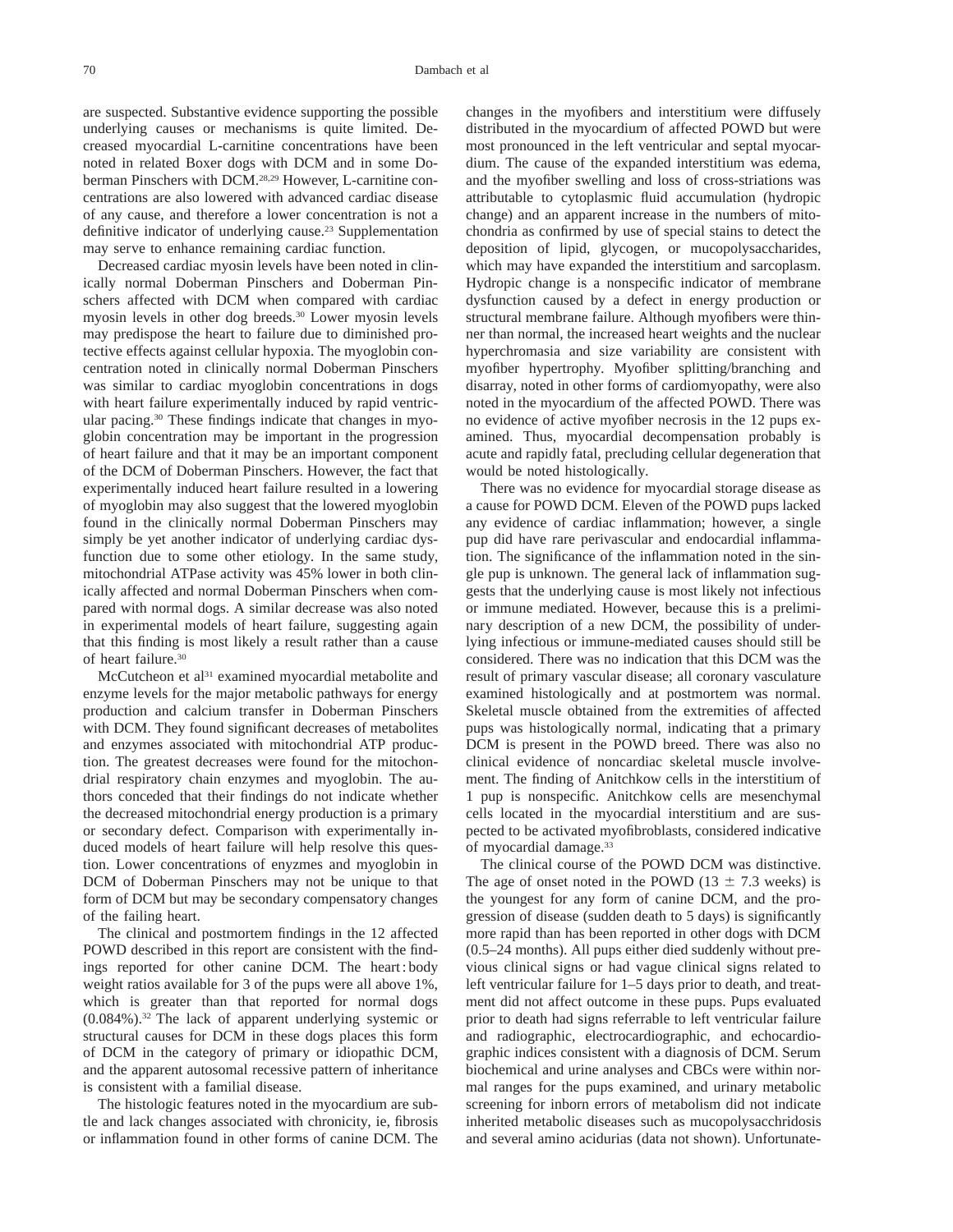are suspected. Substantive evidence supporting the possible underlying causes or mechanisms is quite limited. Decreased myocardial L-carnitine concentrations have been noted in related Boxer dogs with DCM and in some Doberman Pinschers with DCM.28,29 However, L-carnitine concentrations are also lowered with advanced cardiac disease of any cause, and therefore a lower concentration is not a definitive indicator of underlying cause.<sup>23</sup> Supplementation may serve to enhance remaining cardiac function.

Decreased cardiac myosin levels have been noted in clinically normal Doberman Pinschers and Doberman Pinschers affected with DCM when compared with cardiac myosin levels in other dog breeds.30 Lower myosin levels may predispose the heart to failure due to diminished protective effects against cellular hypoxia. The myoglobin concentration noted in clinically normal Doberman Pinschers was similar to cardiac myoglobin concentrations in dogs with heart failure experimentally induced by rapid ventricular pacing.30 These findings indicate that changes in myoglobin concentration may be important in the progression of heart failure and that it may be an important component of the DCM of Doberman Pinschers. However, the fact that experimentally induced heart failure resulted in a lowering of myoglobin may also suggest that the lowered myoglobin found in the clinically normal Doberman Pinschers may simply be yet another indicator of underlying cardiac dysfunction due to some other etiology. In the same study, mitochondrial ATPase activity was 45% lower in both clinically affected and normal Doberman Pinschers when compared with normal dogs. A similar decrease was also noted in experimental models of heart failure, suggesting again that this finding is most likely a result rather than a cause of heart failure.30

McCutcheon et al<sup>31</sup> examined myocardial metabolite and enzyme levels for the major metabolic pathways for energy production and calcium transfer in Doberman Pinschers with DCM. They found significant decreases of metabolites and enzymes associated with mitochondrial ATP production. The greatest decreases were found for the mitochondrial respiratory chain enzymes and myoglobin. The authors conceded that their findings do not indicate whether the decreased mitochondrial energy production is a primary or secondary defect. Comparison with experimentally induced models of heart failure will help resolve this question. Lower concentrations of enyzmes and myoglobin in DCM of Doberman Pinschers may not be unique to that form of DCM but may be secondary compensatory changes of the failing heart.

The clinical and postmortem findings in the 12 affected POWD described in this report are consistent with the findings reported for other canine DCM. The heart : body weight ratios available for 3 of the pups were all above 1%, which is greater than that reported for normal dogs (0.084%).32 The lack of apparent underlying systemic or structural causes for DCM in these dogs places this form of DCM in the category of primary or idiopathic DCM, and the apparent autosomal recessive pattern of inheritance is consistent with a familial disease.

The histologic features noted in the myocardium are subtle and lack changes associated with chronicity, ie, fibrosis or inflammation found in other forms of canine DCM. The changes in the myofibers and interstitium were diffusely distributed in the myocardium of affected POWD but were most pronounced in the left ventricular and septal myocardium. The cause of the expanded interstitium was edema, and the myofiber swelling and loss of cross-striations was attributable to cytoplasmic fluid accumulation (hydropic change) and an apparent increase in the numbers of mitochondria as confirmed by use of special stains to detect the deposition of lipid, glycogen, or mucopolysaccharides, which may have expanded the interstitium and sarcoplasm. Hydropic change is a nonspecific indicator of membrane dysfunction caused by a defect in energy production or structural membrane failure. Although myofibers were thinner than normal, the increased heart weights and the nuclear hyperchromasia and size variability are consistent with myofiber hypertrophy. Myofiber splitting/branching and disarray, noted in other forms of cardiomyopathy, were also noted in the myocardium of the affected POWD. There was no evidence of active myofiber necrosis in the 12 pups examined. Thus, myocardial decompensation probably is acute and rapidly fatal, precluding cellular degeneration that would be noted histologically.

There was no evidence for myocardial storage disease as a cause for POWD DCM. Eleven of the POWD pups lacked any evidence of cardiac inflammation; however, a single pup did have rare perivascular and endocardial inflammation. The significance of the inflammation noted in the single pup is unknown. The general lack of inflammation suggests that the underlying cause is most likely not infectious or immune mediated. However, because this is a preliminary description of a new DCM, the possibility of underlying infectious or immune-mediated causes should still be considered. There was no indication that this DCM was the result of primary vascular disease; all coronary vasculature examined histologically and at postmortem was normal. Skeletal muscle obtained from the extremities of affected pups was histologically normal, indicating that a primary DCM is present in the POWD breed. There was also no clinical evidence of noncardiac skeletal muscle involvement. The finding of Anitchkow cells in the interstitium of 1 pup is nonspecific. Anitchkow cells are mesenchymal cells located in the myocardial interstitium and are suspected to be activated myofibroblasts, considered indicative of myocardial damage.33

The clinical course of the POWD DCM was distinctive. The age of onset noted in the POWD (13  $\pm$  7.3 weeks) is the youngest for any form of canine DCM, and the progression of disease (sudden death to 5 days) is significantly more rapid than has been reported in other dogs with DCM (0.5–24 months). All pups either died suddenly without previous clinical signs or had vague clinical signs related to left ventricular failure for 1–5 days prior to death, and treatment did not affect outcome in these pups. Pups evaluated prior to death had signs referrable to left ventricular failure and radiographic, electrocardiographic, and echocardiographic indices consistent with a diagnosis of DCM. Serum biochemical and urine analyses and CBCs were within normal ranges for the pups examined, and urinary metabolic screening for inborn errors of metabolism did not indicate inherited metabolic diseases such as mucopolysacchridosis and several amino acidurias (data not shown). Unfortunate